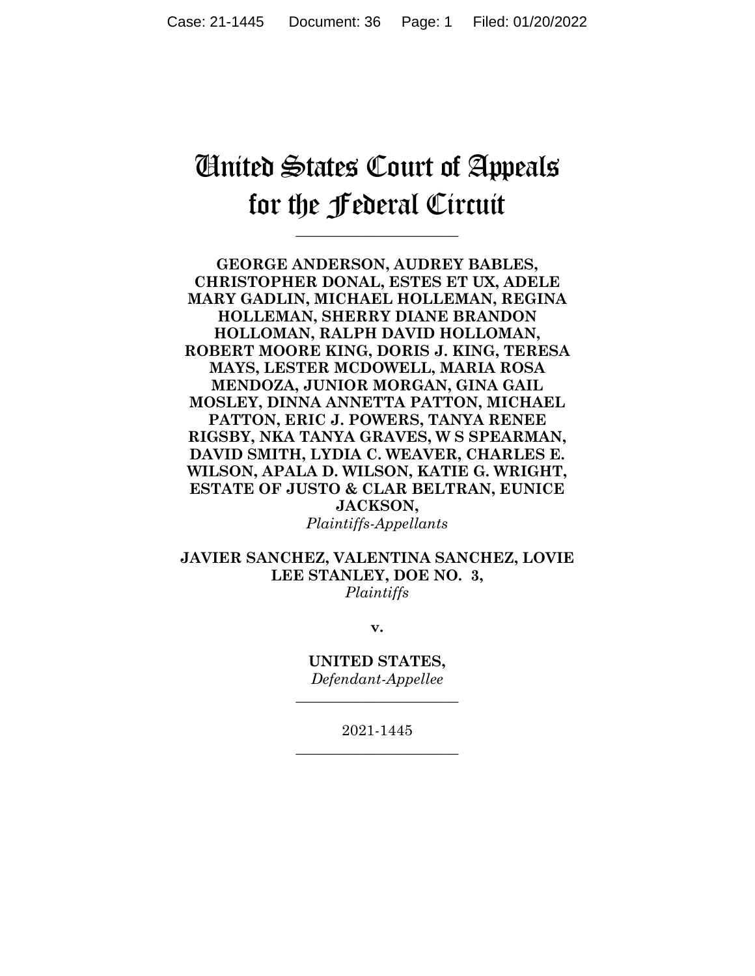# United States Court of Appeals for the Federal Circuit

**\_\_\_\_\_\_\_\_\_\_\_\_\_\_\_\_\_\_\_\_\_\_**

**GEORGE ANDERSON, AUDREY BABLES, CHRISTOPHER DONAL, ESTES ET UX, ADELE MARY GADLIN, MICHAEL HOLLEMAN, REGINA HOLLEMAN, SHERRY DIANE BRANDON HOLLOMAN, RALPH DAVID HOLLOMAN, ROBERT MOORE KING, DORIS J. KING, TERESA MAYS, LESTER MCDOWELL, MARIA ROSA MENDOZA, JUNIOR MORGAN, GINA GAIL MOSLEY, DINNA ANNETTA PATTON, MICHAEL PATTON, ERIC J. POWERS, TANYA RENEE RIGSBY, NKA TANYA GRAVES, W S SPEARMAN, DAVID SMITH, LYDIA C. WEAVER, CHARLES E. WILSON, APALA D. WILSON, KATIE G. WRIGHT, ESTATE OF JUSTO & CLAR BELTRAN, EUNICE JACKSON,** *Plaintiffs-Appellants*

**JAVIER SANCHEZ, VALENTINA SANCHEZ, LOVIE LEE STANLEY, DOE NO. 3,** *Plaintiffs*

**v.**

**UNITED STATES,** *Defendant-Appellee*

**\_\_\_\_\_\_\_\_\_\_\_\_\_\_\_\_\_\_\_\_\_\_**

2021-1445 **\_\_\_\_\_\_\_\_\_\_\_\_\_\_\_\_\_\_\_\_\_\_**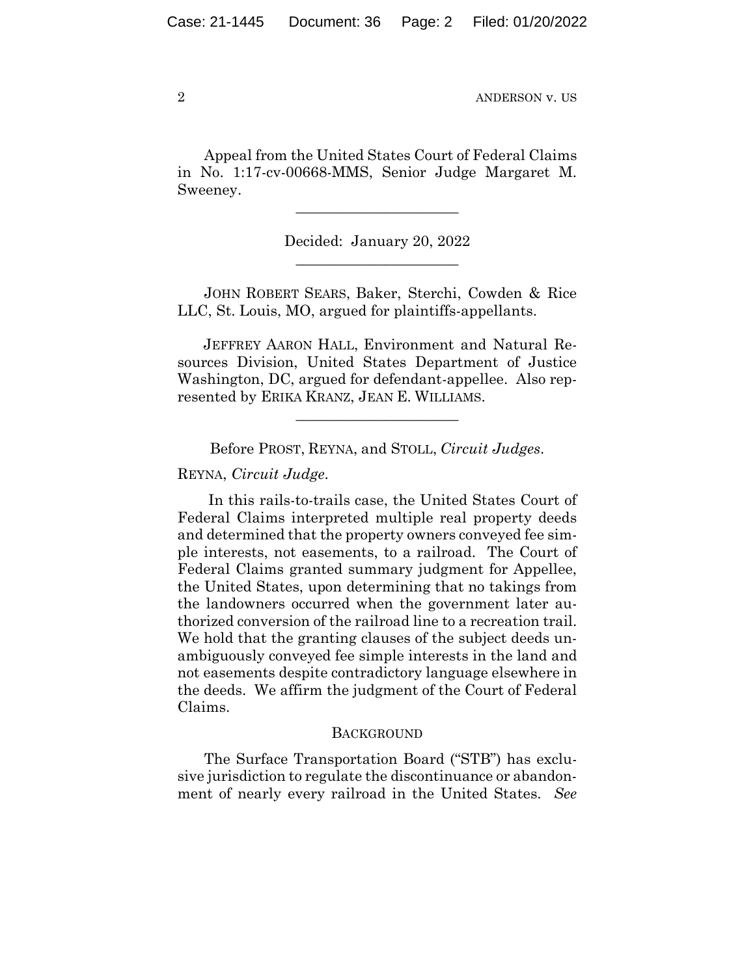Appeal from the United States Court of Federal Claims in No. 1:17-cv-00668-MMS, Senior Judge Margaret M. Sweeney.

 $\overline{\phantom{a}}$  , where  $\overline{\phantom{a}}$  , where  $\overline{\phantom{a}}$  , where  $\overline{\phantom{a}}$ 

Decided: January 20, 2022  $\overline{\phantom{a}}$  , where  $\overline{\phantom{a}}$  , where  $\overline{\phantom{a}}$  , where  $\overline{\phantom{a}}$ 

JOHN ROBERT SEARS, Baker, Sterchi, Cowden & Rice LLC, St. Louis, MO, argued for plaintiffs-appellants.

 JEFFREY AARON HALL, Environment and Natural Resources Division, United States Department of Justice Washington, DC, argued for defendant-appellee. Also represented by ERIKA KRANZ, JEAN E. WILLIAMS.

Before PROST, REYNA, and STOLL, *Circuit Judges*.

\_\_\_\_\_\_\_\_\_\_\_\_\_\_\_\_\_\_\_\_\_\_

REYNA, *Circuit Judge*.

In this rails-to-trails case, the United States Court of Federal Claims interpreted multiple real property deeds and determined that the property owners conveyed fee simple interests, not easements, to a railroad. The Court of Federal Claims granted summary judgment for Appellee, the United States, upon determining that no takings from the landowners occurred when the government later authorized conversion of the railroad line to a recreation trail. We hold that the granting clauses of the subject deeds unambiguously conveyed fee simple interests in the land and not easements despite contradictory language elsewhere in the deeds. We affirm the judgment of the Court of Federal Claims.

## **BACKGROUND**

The Surface Transportation Board ("STB") has exclusive jurisdiction to regulate the discontinuance or abandonment of nearly every railroad in the United States. *See*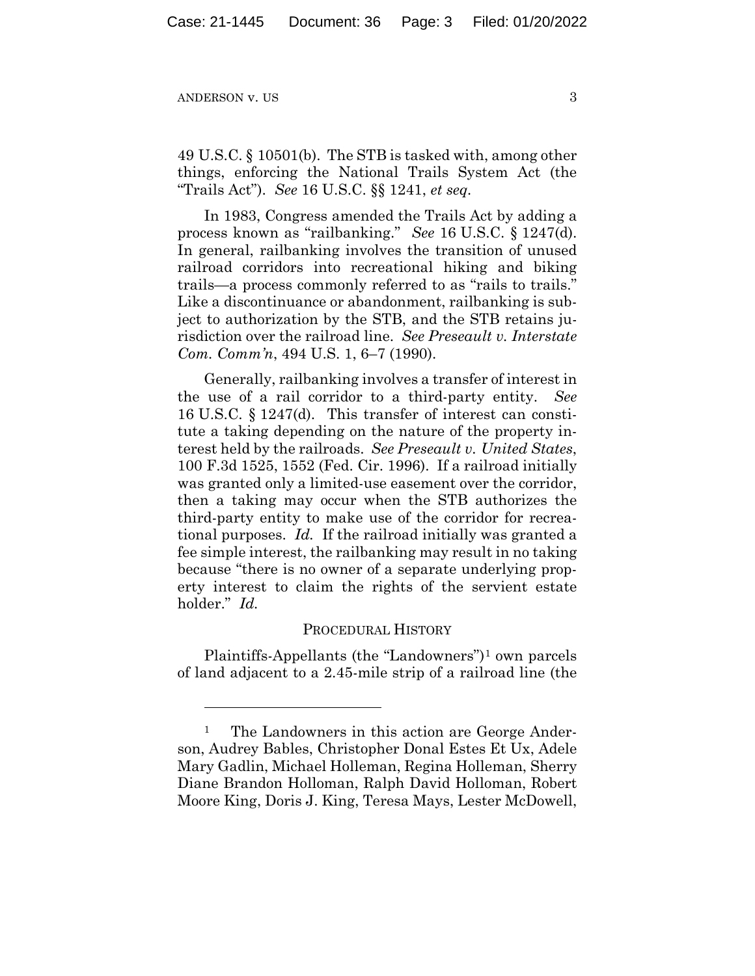49 U.S.C. § 10501(b). The STB is tasked with, among other things, enforcing the National Trails System Act (the "Trails Act"). *See* 16 U.S.C. §§ 1241, *et seq.*

In 1983, Congress amended the Trails Act by adding a process known as "railbanking." *See* 16 U.S.C. § 1247(d). In general, railbanking involves the transition of unused railroad corridors into recreational hiking and biking trails—a process commonly referred to as "rails to trails." Like a discontinuance or abandonment, railbanking is subject to authorization by the STB, and the STB retains jurisdiction over the railroad line. *See Preseault v. Interstate Com. Comm'n*, 494 U.S. 1, 6–7 (1990).

Generally, railbanking involves a transfer of interest in the use of a rail corridor to a third-party entity. *See*  16 U.S.C. § 1247(d). This transfer of interest can constitute a taking depending on the nature of the property interest held by the railroads. *See Preseault v. United States*, 100 F.3d 1525, 1552 (Fed. Cir. 1996). If a railroad initially was granted only a limited-use easement over the corridor, then a taking may occur when the STB authorizes the third-party entity to make use of the corridor for recreational purposes. *Id.* If the railroad initially was granted a fee simple interest, the railbanking may result in no taking because "there is no owner of a separate underlying property interest to claim the rights of the servient estate holder." *Id.*

# PROCEDURAL HISTORY

Plaintiffs-Appellants (the "Landowners")<sup>1</sup> own parcels of land adjacent to a 2.45-mile strip of a railroad line (the

<sup>&</sup>lt;sup>1</sup> The Landowners in this action are George Anderson, Audrey Bables, Christopher Donal Estes Et Ux, Adele Mary Gadlin, Michael Holleman, Regina Holleman, Sherry Diane Brandon Holloman, Ralph David Holloman, Robert Moore King, Doris J. King, Teresa Mays, Lester McDowell,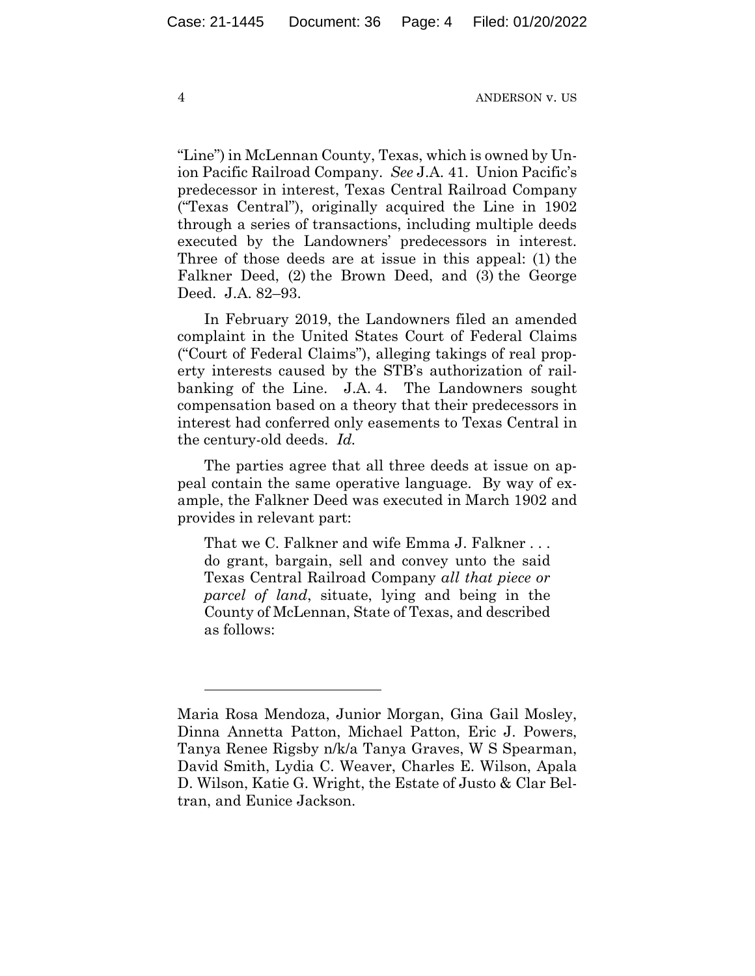"Line") in McLennan County, Texas, which is owned by Union Pacific Railroad Company. *See* J.A. 41. Union Pacific's predecessor in interest, Texas Central Railroad Company ("Texas Central"), originally acquired the Line in 1902 through a series of transactions, including multiple deeds executed by the Landowners' predecessors in interest. Three of those deeds are at issue in this appeal: (1) the Falkner Deed, (2) the Brown Deed, and (3) the George Deed. J.A. 82–93.

In February 2019, the Landowners filed an amended complaint in the United States Court of Federal Claims ("Court of Federal Claims"), alleging takings of real property interests caused by the STB's authorization of railbanking of the Line. J.A. 4. The Landowners sought compensation based on a theory that their predecessors in interest had conferred only easements to Texas Central in the century-old deeds. *Id.*

The parties agree that all three deeds at issue on appeal contain the same operative language. By way of example, the Falkner Deed was executed in March 1902 and provides in relevant part:

That we C. Falkner and wife Emma J. Falkner . . . do grant, bargain, sell and convey unto the said Texas Central Railroad Company *all that piece or parcel of land*, situate, lying and being in the County of McLennan, State of Texas, and described as follows:

Maria Rosa Mendoza, Junior Morgan, Gina Gail Mosley, Dinna Annetta Patton, Michael Patton, Eric J. Powers, Tanya Renee Rigsby n/k/a Tanya Graves, W S Spearman, David Smith, Lydia C. Weaver, Charles E. Wilson, Apala D. Wilson, Katie G. Wright, the Estate of Justo & Clar Beltran, and Eunice Jackson.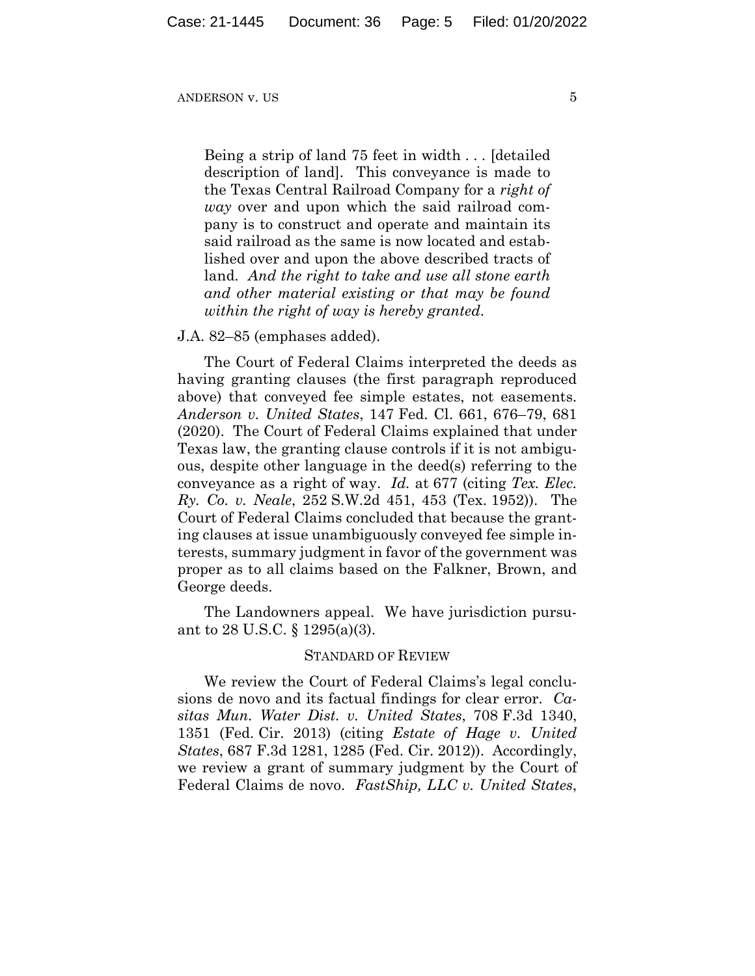Being a strip of land 75 feet in width . . . [detailed description of land]. This conveyance is made to the Texas Central Railroad Company for a *right of way* over and upon which the said railroad company is to construct and operate and maintain its said railroad as the same is now located and established over and upon the above described tracts of land. *And the right to take and use all stone earth and other material existing or that may be found within the right of way is hereby granted*.

#### J.A. 82–85 (emphases added).

The Court of Federal Claims interpreted the deeds as having granting clauses (the first paragraph reproduced above) that conveyed fee simple estates, not easements. *Anderson v. United States*, 147 Fed. Cl. 661, 676–79, 681 (2020). The Court of Federal Claims explained that under Texas law, the granting clause controls if it is not ambiguous, despite other language in the deed(s) referring to the conveyance as a right of way. *Id.* at 677 (citing *Tex. Elec. Ry. Co. v. Neale*, 252 S.W.2d 451, 453 (Tex. 1952)). The Court of Federal Claims concluded that because the granting clauses at issue unambiguously conveyed fee simple interests, summary judgment in favor of the government was proper as to all claims based on the Falkner, Brown, and George deeds.

The Landowners appeal. We have jurisdiction pursuant to 28 U.S.C. § 1295(a)(3).

#### STANDARD OF REVIEW

We review the Court of Federal Claims's legal conclusions de novo and its factual findings for clear error. *Casitas Mun. Water Dist. v. United States*, 708 F.3d 1340, 1351 (Fed. Cir. 2013) (citing *Estate of Hage v. United States*, 687 F.3d 1281, 1285 (Fed. Cir. 2012)). Accordingly, we review a grant of summary judgment by the Court of Federal Claims de novo. *FastShip, LLC v. United States*,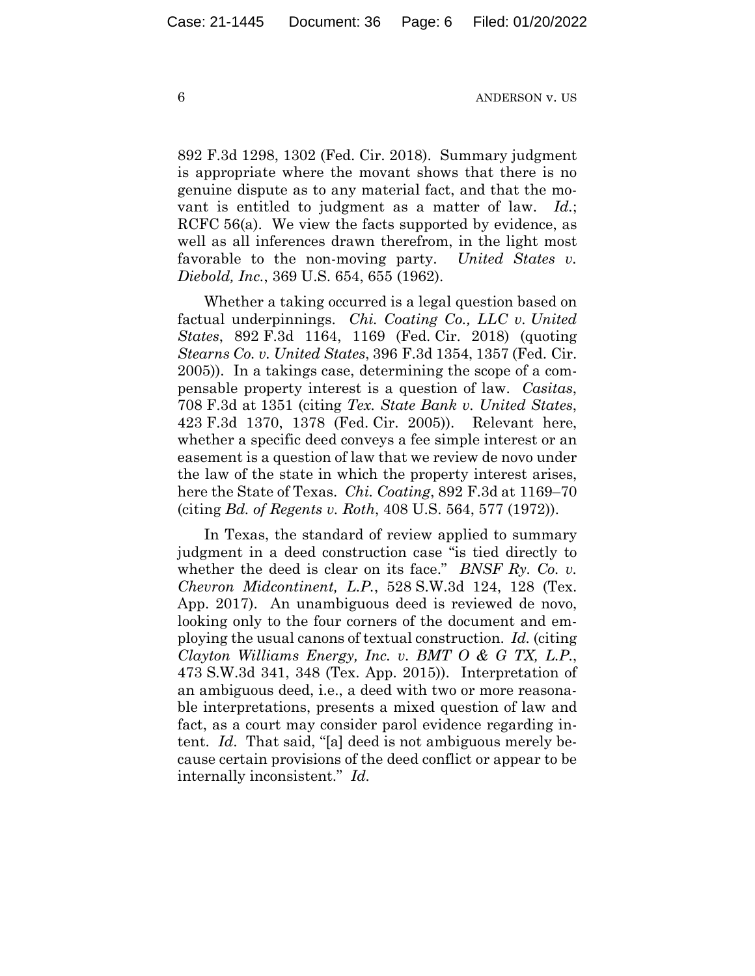892 F.3d 1298, 1302 (Fed. Cir. 2018). Summary judgment is appropriate where the movant shows that there is no genuine dispute as to any material fact, and that the movant is entitled to judgment as a matter of law. *Id.*; RCFC 56(a). We view the facts supported by evidence, as well as all inferences drawn therefrom, in the light most favorable to the non-moving party. *United States v. Diebold, Inc.*, 369 U.S. 654, 655 (1962).

Whether a taking occurred is a legal question based on factual underpinnings. *Chi. Coating Co., LLC v. United States*, 892 F.3d 1164, 1169 (Fed. Cir. 2018) (quoting *Stearns Co. v. United States*, 396 F.3d 1354, 1357 (Fed. Cir. 2005)). In a takings case, determining the scope of a compensable property interest is a question of law. *Casitas*, 708 F.3d at 1351 (citing *Tex. State Bank v. United States*, 423 F.3d 1370, 1378 (Fed. Cir. 2005)). Relevant here, whether a specific deed conveys a fee simple interest or an easement is a question of law that we review de novo under the law of the state in which the property interest arises, here the State of Texas. *Chi. Coating*, 892 F.3d at 1169–70 (citing *Bd. of Regents v. Roth*, 408 U.S. 564, 577 (1972)).

In Texas, the standard of review applied to summary judgment in a deed construction case "is tied directly to whether the deed is clear on its face." *BNSF Ry. Co. v. Chevron Midcontinent, L.P.*, 528 S.W.3d 124, 128 (Tex. App. 2017). An unambiguous deed is reviewed de novo, looking only to the four corners of the document and employing the usual canons of textual construction. *Id.* (citing *Clayton Williams Energy, Inc. v. BMT O & G TX, L.P.*, 473 S.W.3d 341, 348 (Tex. App. 2015)). Interpretation of an ambiguous deed, i.e., a deed with two or more reasonable interpretations, presents a mixed question of law and fact, as a court may consider parol evidence regarding intent. *Id*. That said, "[a] deed is not ambiguous merely because certain provisions of the deed conflict or appear to be internally inconsistent." *Id.*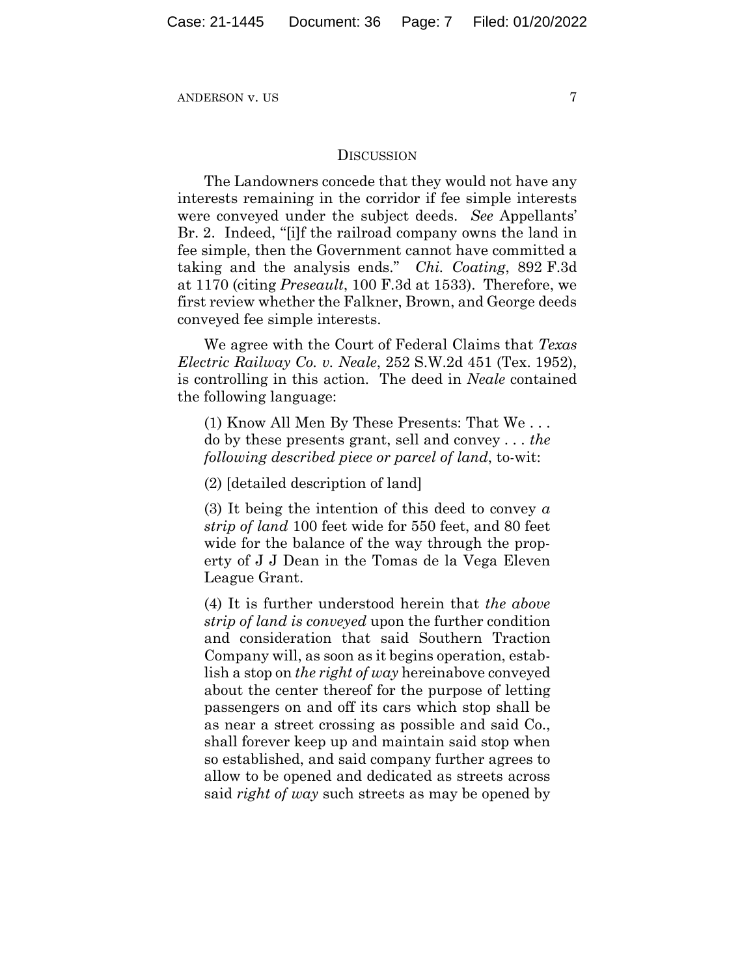# **DISCUSSION**

The Landowners concede that they would not have any interests remaining in the corridor if fee simple interests were conveyed under the subject deeds. *See* Appellants' Br. 2. Indeed, "[i]f the railroad company owns the land in fee simple, then the Government cannot have committed a taking and the analysis ends." *Chi. Coating*, 892 F.3d at 1170 (citing *Preseault*, 100 F.3d at 1533). Therefore, we first review whether the Falkner, Brown, and George deeds conveyed fee simple interests.

We agree with the Court of Federal Claims that *Texas Electric Railway Co. v. Neale*, 252 S.W.2d 451 (Tex. 1952), is controlling in this action. The deed in *Neale* contained the following language:

(1) Know All Men By These Presents: That We . . . do by these presents grant, sell and convey . . . *the following described piece or parcel of land*, to-wit:

(2) [detailed description of land]

(3) It being the intention of this deed to convey *a strip of land* 100 feet wide for 550 feet, and 80 feet wide for the balance of the way through the property of J J Dean in the Tomas de la Vega Eleven League Grant.

(4) It is further understood herein that *the above strip of land is conveyed* upon the further condition and consideration that said Southern Traction Company will, as soon as it begins operation, establish a stop on *the right of way* hereinabove conveyed about the center thereof for the purpose of letting passengers on and off its cars which stop shall be as near a street crossing as possible and said Co., shall forever keep up and maintain said stop when so established, and said company further agrees to allow to be opened and dedicated as streets across said *right of way* such streets as may be opened by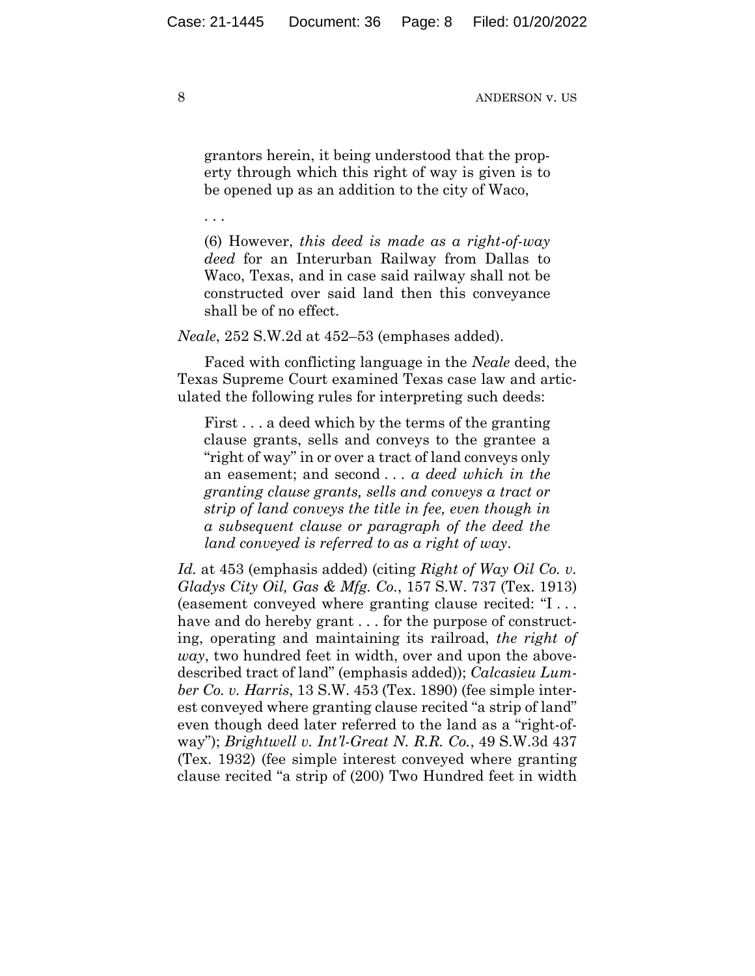grantors herein, it being understood that the property through which this right of way is given is to be opened up as an addition to the city of Waco,

(6) However, *this deed is made as a right-of-way deed* for an Interurban Railway from Dallas to Waco, Texas, and in case said railway shall not be constructed over said land then this conveyance shall be of no effect.

*Neale*, 252 S.W.2d at 452–53 (emphases added).

Faced with conflicting language in the *Neale* deed, the Texas Supreme Court examined Texas case law and articulated the following rules for interpreting such deeds:

First . . . a deed which by the terms of the granting clause grants, sells and conveys to the grantee a "right of way" in or over a tract of land conveys only an easement; and second . . . *a deed which in the granting clause grants, sells and conveys a tract or strip of land conveys the title in fee, even though in a subsequent clause or paragraph of the deed the land conveyed is referred to as a right of way*.

*Id.* at 453 (emphasis added) (citing *Right of Way Oil Co. v. Gladys City Oil, Gas & Mfg. Co.*, 157 S.W. 737 (Tex. 1913) (easement conveyed where granting clause recited: "I . . . have and do hereby grant ... for the purpose of constructing, operating and maintaining its railroad, *the right of way*, two hundred feet in width, over and upon the abovedescribed tract of land" (emphasis added)); *Calcasieu Lumber Co. v. Harris*, 13 S.W. 453 (Tex. 1890) (fee simple interest conveyed where granting clause recited "a strip of land" even though deed later referred to the land as a "right-ofway"); *Brightwell v. Int'l-Great N. R.R. Co.*, 49 S.W.3d 437 (Tex. 1932) (fee simple interest conveyed where granting clause recited "a strip of (200) Two Hundred feet in width

. . .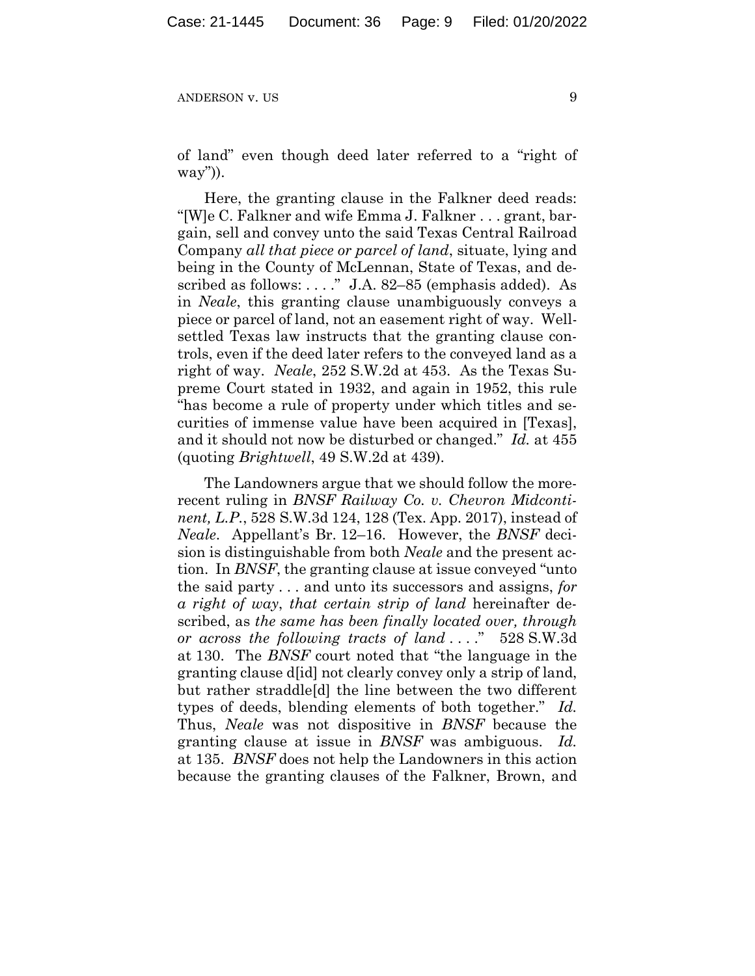of land" even though deed later referred to a "right of way")).

Here, the granting clause in the Falkner deed reads: "[W]e C. Falkner and wife Emma J. Falkner . . . grant, bargain, sell and convey unto the said Texas Central Railroad Company *all that piece or parcel of land*, situate, lying and being in the County of McLennan, State of Texas, and described as follows: ...." J.A. 82–85 (emphasis added). As in *Neale*, this granting clause unambiguously conveys a piece or parcel of land, not an easement right of way. Wellsettled Texas law instructs that the granting clause controls, even if the deed later refers to the conveyed land as a right of way. *Neale*, 252 S.W.2d at 453. As the Texas Supreme Court stated in 1932, and again in 1952, this rule "has become a rule of property under which titles and securities of immense value have been acquired in [Texas], and it should not now be disturbed or changed." *Id.* at 455 (quoting *Brightwell*, 49 S.W.2d at 439).

The Landowners argue that we should follow the morerecent ruling in *BNSF Railway Co. v. Chevron Midcontinent, L.P.*, 528 S.W.3d 124, 128 (Tex. App. 2017), instead of *Neale*. Appellant's Br. 12–16. However, the *BNSF* decision is distinguishable from both *Neale* and the present action. In *BNSF*, the granting clause at issue conveyed "unto the said party . . . and unto its successors and assigns, *for a right of way*, *that certain strip of land* hereinafter described, as *the same has been finally located over, through or across the following tracts of land* . . . ." 528 S.W.3d at 130. The *BNSF* court noted that "the language in the granting clause d[id] not clearly convey only a strip of land, but rather straddle[d] the line between the two different types of deeds, blending elements of both together." *Id.* Thus, *Neale* was not dispositive in *BNSF* because the granting clause at issue in *BNSF* was ambiguous. *Id.* at 135. *BNSF* does not help the Landowners in this action because the granting clauses of the Falkner, Brown, and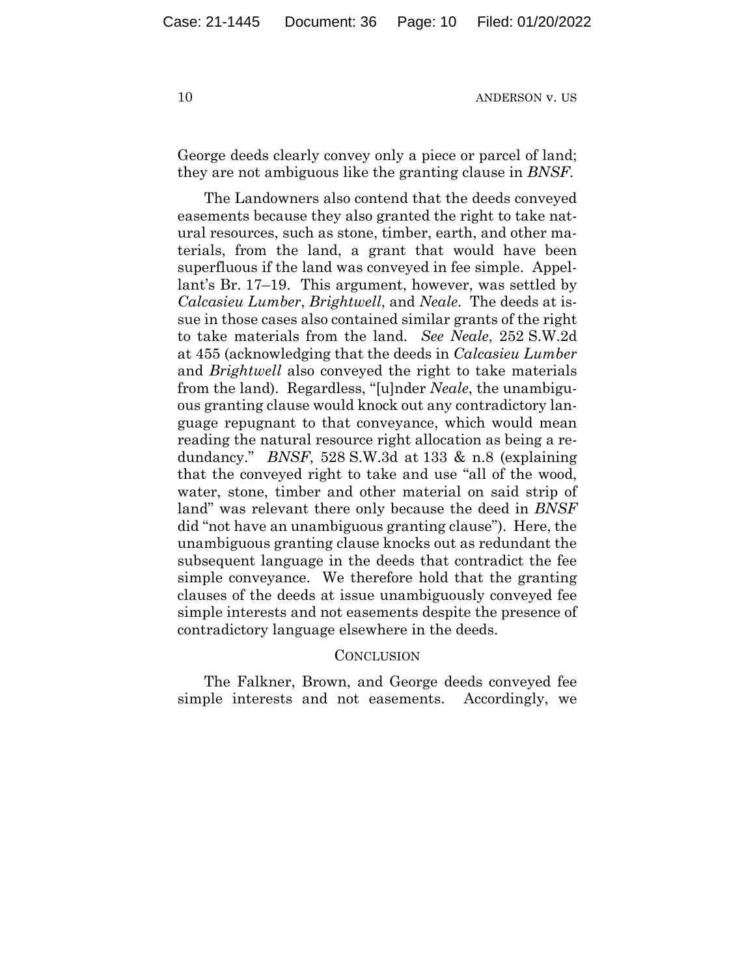George deeds clearly convey only a piece or parcel of land; they are not ambiguous like the granting clause in *BNSF*.

The Landowners also contend that the deeds conveyed easements because they also granted the right to take natural resources, such as stone, timber, earth, and other materials, from the land, a grant that would have been superfluous if the land was conveyed in fee simple. Appellant's Br. 17–19. This argument, however, was settled by *Calcasieu Lumber*, *Brightwell*, and *Neale*. The deeds at issue in those cases also contained similar grants of the right to take materials from the land. *See Neale*, 252 S.W.2d at 455 (acknowledging that the deeds in *Calcasieu Lumber*  and *Brightwell* also conveyed the right to take materials from the land). Regardless, "[u]nder *Neale*, the unambiguous granting clause would knock out any contradictory language repugnant to that conveyance, which would mean reading the natural resource right allocation as being a redundancy." *BNSF*, 528 S.W.3d at 133 & n.8 (explaining that the conveyed right to take and use "all of the wood, water, stone, timber and other material on said strip of land" was relevant there only because the deed in *BNSF* did "not have an unambiguous granting clause"). Here, the unambiguous granting clause knocks out as redundant the subsequent language in the deeds that contradict the fee simple conveyance. We therefore hold that the granting clauses of the deeds at issue unambiguously conveyed fee simple interests and not easements despite the presence of contradictory language elsewhere in the deeds.

## **CONCLUSION**

The Falkner, Brown, and George deeds conveyed fee simple interests and not easements. Accordingly, we